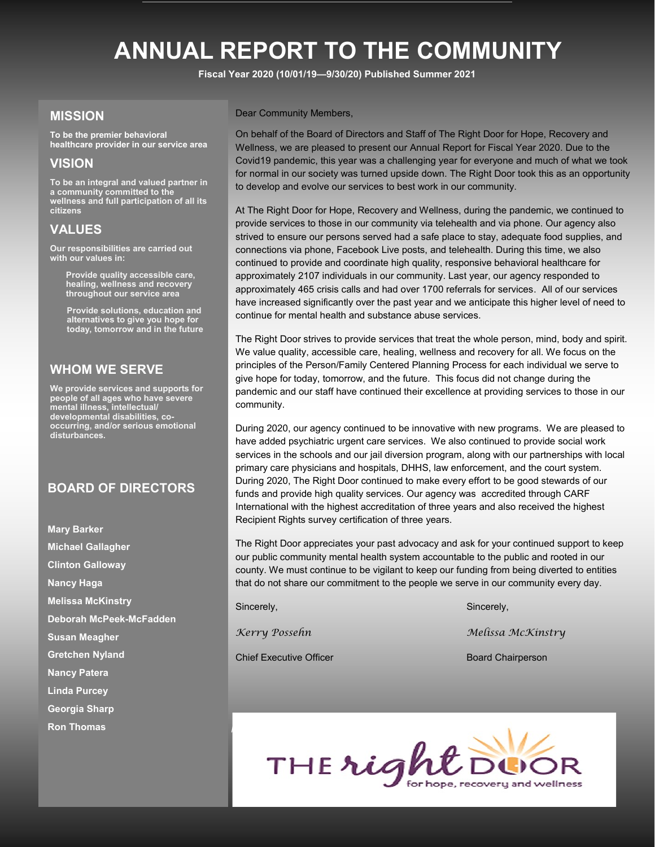## **ANNUAL REPORT TO THE COMMUNITY**

**Fiscal Year 2020 (10/01/19—9/30/20) Published Summer 2021**

### **MISSION**

**To be the premier behavioral healthcare provider in our service area**

### **VISION**

**To be an integral and valued partner in a community committed to the wellness and full participation of all its citizens**

### **VALUES**

**Our responsibilities are carried out with our values in:**

> **Provide quality accessible care, healing, wellness and recovery throughout our service area**

**Provide solutions, education and alternatives to give you hope for today, tomorrow and in the future**

#### **WHOM WE SERVE**

**We provide services and supports for people of all ages who have severe mental illness, intellectual/ developmental disabilities, cooccurring, and/or serious emotional disturbances.** 

#### **BOARD OF DIRECTORS**

**Mary Barker Michael Gallagher Clinton Galloway Nancy Haga Melissa McKinstry Deborah McPeek-McFadden Susan Meagher Gretchen Nyland Nancy Patera Linda Purcey Georgia Sharp Ron Thomas**

Dear Community Members,

On behalf of the Board of Directors and Staff of The Right Door for Hope, Recovery and Wellness, we are pleased to present our Annual Report for Fiscal Year 2020. Due to the Covid19 pandemic, this year was a challenging year for everyone and much of what we took for normal in our society was turned upside down. The Right Door took this as an opportunity to develop and evolve our services to best work in our community.

At The Right Door for Hope, Recovery and Wellness, during the pandemic, we continued to provide services to those in our community via telehealth and via phone. Our agency also strived to ensure our persons served had a safe place to stay, adequate food supplies, and connections via phone, Facebook Live posts, and telehealth. During this time, we also continued to provide and coordinate high quality, responsive behavioral healthcare for approximately 2107 individuals in our community. Last year, our agency responded to approximately 465 crisis calls and had over 1700 referrals for services. All of our services have increased significantly over the past year and we anticipate this higher level of need to continue for mental health and substance abuse services.

The Right Door strives to provide services that treat the whole person, mind, body and spirit. We value quality, accessible care, healing, wellness and recovery for all. We focus on the principles of the Person/Family Centered Planning Process for each individual we serve to give hope for today, tomorrow, and the future. This focus did not change during the pandemic and our staff have continued their excellence at providing services to those in our community.

During 2020, our agency continued to be innovative with new programs. We are pleased to have added psychiatric urgent care services. We also continued to provide social work services in the schools and our jail diversion program, along with our partnerships with local primary care physicians and hospitals, DHHS, law enforcement, and the court system. During 2020, The Right Door continued to make every effort to be good stewards of our funds and provide high quality services. Our agency was accredited through CARF International with the highest accreditation of three years and also received the highest Recipient Rights survey certification of three years.

The Right Door appreciates your past advocacy and ask for your continued support to keep our public community mental health system accountable to the public and rooted in our county. We must continue to be vigilant to keep our funding from being diverted to entities that do not share our commitment to the people we serve in our community every day.

Chief Executive Officer Board Chairperson

Sincerely, Sincerely, Sincerely, Sincerely, Sincerely, Sincerely, Sincerely, Sincerely, Sincerely, Sincerely,

*Kerry Possehn Melissa McKinstry*

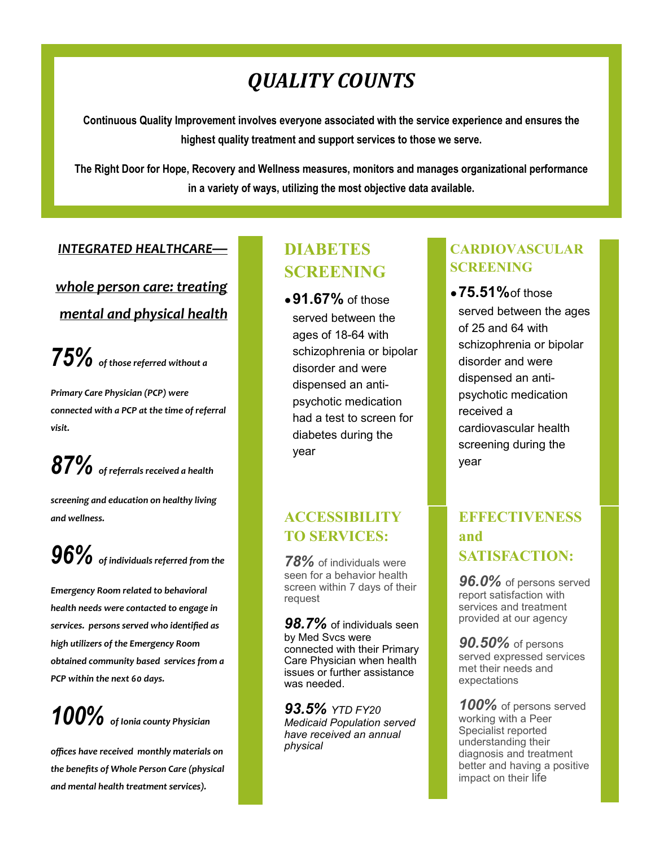## *QUALITY COUNTS*

**Continuous Quality Improvement involves everyone associated with the service experience and ensures the highest quality treatment and support services to those we serve.**

**The Right Door for Hope, Recovery and Wellness measures, monitors and manages organizational performance in a variety of ways, utilizing the most objective data available.**

#### *INTEGRATED HEALTHCARE—*

## *whole person care: treating mental and physical health*

*75% of those referred without a* 

*Primary Care Physician (PCP) were connected with a PCP at the time of referral visit.*

*87% of referrals received a health* 

*screening and education on healthy living and wellness.*

*96% of individuals referred from the* 

*Emergency Room related to behavioral health needs were contacted to engage in services. persons served who identified as high utilizers of the Emergency Room obtained community based services from a PCP within the next 60 days.*

## *100% of Ionia county Physician*

*offices have received monthly materials on the benefits of Whole Person Care (physical and mental health treatment services).*

## **DIABETES SCREENING**

●**91.67%** of those served between the ages of 18-64 with schizophrenia or bipolar disorder and were dispensed an antipsychotic medication had a test to screen for diabetes during the year

## **ACCESSIBILITY TO SERVICES:**

*78%* of individuals were seen for a behavior health screen within 7 days of their request

*98.7%* of individuals seen by Med Svcs were connected with their Primary Care Physician when health issues or further assistance was needed.

*93.5% YTD FY20 Medicaid Population served have received an annual physical*

## **CARDIOVASCULAR SCREENING**

●**75.51%**of those served between the ages of 25 and 64 with schizophrenia or bipolar disorder and were dispensed an antipsychotic medication received a cardiovascular health screening during the year

## **EFFECTIVENESS and SATISFACTION:**

*96.0%* of persons served report satisfaction with services and treatment provided at our agency

*90.50%* of persons served expressed services met their needs and expectations

*100%* of persons served working with a Peer Specialist reported understanding their diagnosis and treatment better and having a positive impact on their life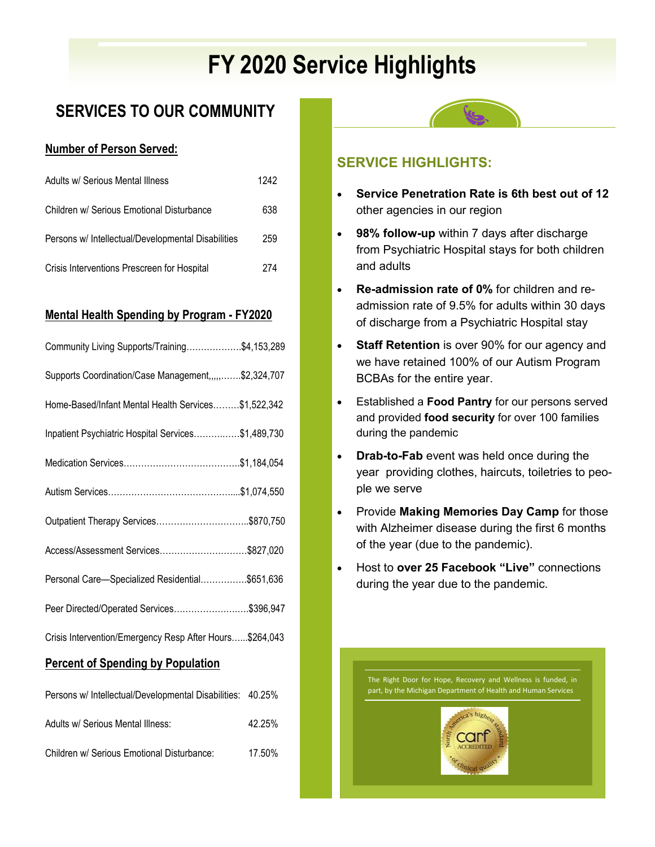# **FY 2020 Service Highlights**

## **SERVICES TO OUR COMMUNITY**

### **Number of Person Served:**

| Adults w/ Serious Mental Illness                   | 1242 |
|----------------------------------------------------|------|
| Children w/ Serious Emotional Disturbance          | 638  |
| Persons w/ Intellectual/Developmental Disabilities | 259  |
| Crisis Interventions Prescreen for Hospital        | 274  |

### **Mental Health Spending by Program - FY2020**

| Community Living Supports/Training\$4,153,289           |  |
|---------------------------------------------------------|--|
| Supports Coordination/Case Management,,,,,\$2,324,707   |  |
| Home-Based/Infant Mental Health Services\$1,522,342     |  |
| Inpatient Psychiatric Hospital Services\$1,489,730      |  |
|                                                         |  |
|                                                         |  |
| Outpatient Therapy Services\$870,750                    |  |
| Access/Assessment Services\$827,020                     |  |
| Personal Care-Specialized Residential\$651,636          |  |
| Peer Directed/Operated Services\$396,947                |  |
| Crisis Intervention/Emergency Resp After Hours\$264,043 |  |

#### **Percent of Spending by Population**

| Persons w/ Intellectual/Developmental Disabilities: 40.25% |        |
|------------------------------------------------------------|--------|
| Adults w/ Serious Mental Illness:                          | 42.25% |
| Children w/ Serious Emotional Disturbance:                 | 17.50% |



### **SERVICE HIGHLIGHTS:**

- **Service Penetration Rate is 6th best out of 12**  other agencies in our region
- **98% follow-up** within 7 days after discharge from Psychiatric Hospital stays for both children and adults
- **Re-admission rate of 0%** for children and readmission rate of 9.5% for adults within 30 days of discharge from a Psychiatric Hospital stay
- **Staff Retention** is over 90% for our agency and we have retained 100% of our Autism Program BCBAs for the entire year.
- Established a **Food Pantry** for our persons served and provided **food security** for over 100 families during the pandemic
- **Drab-to-Fab** event was held once during the year providing clothes, haircuts, toiletries to people we serve
- Provide **Making Memories Day Camp** for those with Alzheimer disease during the first 6 months of the year (due to the pandemic).
- Host to **over 25 Facebook "Live"** connections during the year due to the pandemic.

The Right Door for Hope, Recovery and Wellness is funded, in part, by the Michigan Department of Health and Human Services